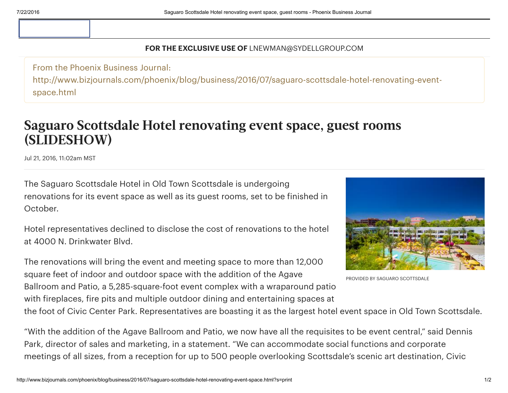## FOR THE EXCLUSIVE USE OF LNEWMAN@SYDELLGROUP.COM

From the Phoenix Business Journal: http://www.bizjournals.com/phoenix/blog/business/2016/07/saguaro-scottsdale-hotel-renovating-eventspace.html

## Saguaro Scottsdale Hotel renovating event space, guest rooms (SLIDESHOW)

Jul 21, 2016, 11:02am MST

The Saguaro Scottsdale Hotel in Old Town Scottsdale is undergoing renovations for its event space as well as its guest rooms, set to be finished in October.

Hotel representatives declined to disclose the cost of renovations to the hotel at 4000 N. Drinkwater Blvd.

The renovations will bring the event and meeting space to more than 12,000 square feet of indoor and outdoor space with the addition of the Agave Ballroom and Patio, a 5,285-square-foot event complex with a wraparound patio with fireplaces, fire pits and multiple outdoor dining and entertaining spaces at



PROVIDED BY SAGUARO SCOTTSDALE

the foot of Civic Center Park. Representatives are boasting it as the largest hotel event space in Old Town Scottsdale.

"With the addition of the Agave Ballroom and Patio, we now have all the requisites to be event central," said Dennis Park, director of sales and marketing, in a statement. "We can accommodate social functions and corporate meetings of all sizes, from a reception for up to 500 people overlooking Scottsdale's scenic art destination, Civic